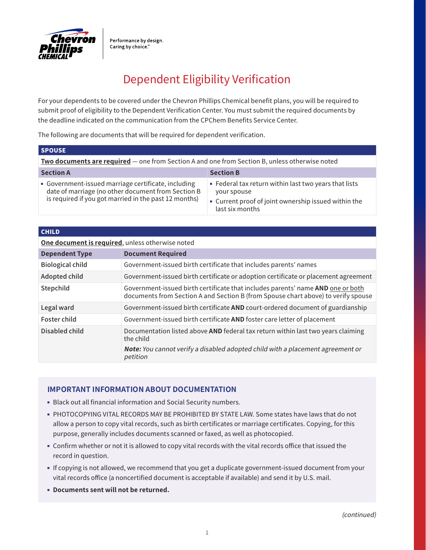

Performance by design. Caring by choice."

## Dependent Eligibility Verification

For your dependents to be covered under the Chevron Phillips Chemical benefit plans, you will be required to submit proof of eligibility to the Dependent Verification Center. You must submit the required documents by the deadline indicated on the communication from the CPChem Benefits Service Center.

The following are documents that will be required for dependent verification.

| <b>SPOUSE</b>                                                                                                                                                      |                                                                                                                                                 |
|--------------------------------------------------------------------------------------------------------------------------------------------------------------------|-------------------------------------------------------------------------------------------------------------------------------------------------|
| <b>Two documents are required</b> — one from Section A and one from Section B, unless otherwise noted                                                              |                                                                                                                                                 |
| <b>Section A</b>                                                                                                                                                   | <b>Section B</b>                                                                                                                                |
| • Government-issued marriage certificate, including<br>date of marriage (no other document from Section B<br>is required if you got married in the past 12 months) | • Federal tax return within last two years that lists<br>your spouse<br>• Current proof of joint ownership issued within the<br>last six months |

## **CHILD**

## **One document is required**, unless otherwise noted

| <b>Dependent Type</b>   | <b>Document Required</b>                                                                                                                                             |
|-------------------------|----------------------------------------------------------------------------------------------------------------------------------------------------------------------|
| <b>Biological child</b> | Government-issued birth certificate that includes parents' names                                                                                                     |
| Adopted child           | Government-issued birth certificate or adoption certificate or placement agreement                                                                                   |
| Stepchild               | Government-issued birth certificate that includes parents' name AND one or both<br>documents from Section A and Section B (from Spouse chart above) to verify spouse |
| Legal ward              | Government-issued birth certificate AND court-ordered document of guardianship                                                                                       |
| Foster child            | Government-issued birth certificate AND foster care letter of placement                                                                                              |
| Disabled child          | Documentation listed above AND federal tax return within last two years claiming<br>the child                                                                        |
|                         | Note: You cannot verify a disabled adopted child with a placement agreement or<br>petition                                                                           |

## **IMPORTANT INFORMATION ABOUT DOCUMENTATION**

- Black out all financial information and Social Security numbers.
- PHOTOCOPYING VITAL RECORDS MAY BE PROHIBITED BY STATE LAW. Some states have laws that do not allow a person to copy vital records, such as birth certificates or marriage certificates. Copying, for this purpose, generally includes documents scanned or faxed, as well as photocopied.
- Confirm whether or not it is allowed to copy vital records with the vital records office that issued the record in question.
- If copying is not allowed, we recommend that you get a duplicate government-issued document from your vital records office (a noncertified document is acceptable if available) and send it by U.S. mail.
- **Documents sent will not be returned.**